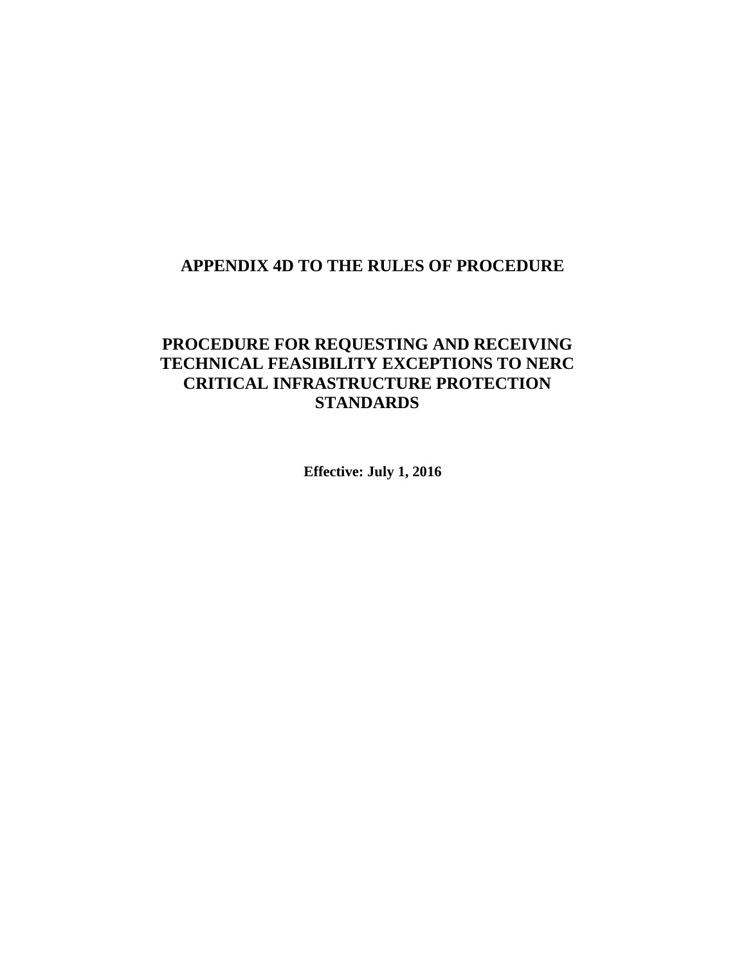## **APPENDIX 4D TO THE RULES OF PROCEDURE**

# **PROCEDURE FOR REQUESTING AND RECEIVING TECHNICAL FEASIBILITY EXCEPTIONS TO NERC CRITICAL INFRASTRUCTURE PROTECTION STANDARDS**

**Effective: July 1, 2016**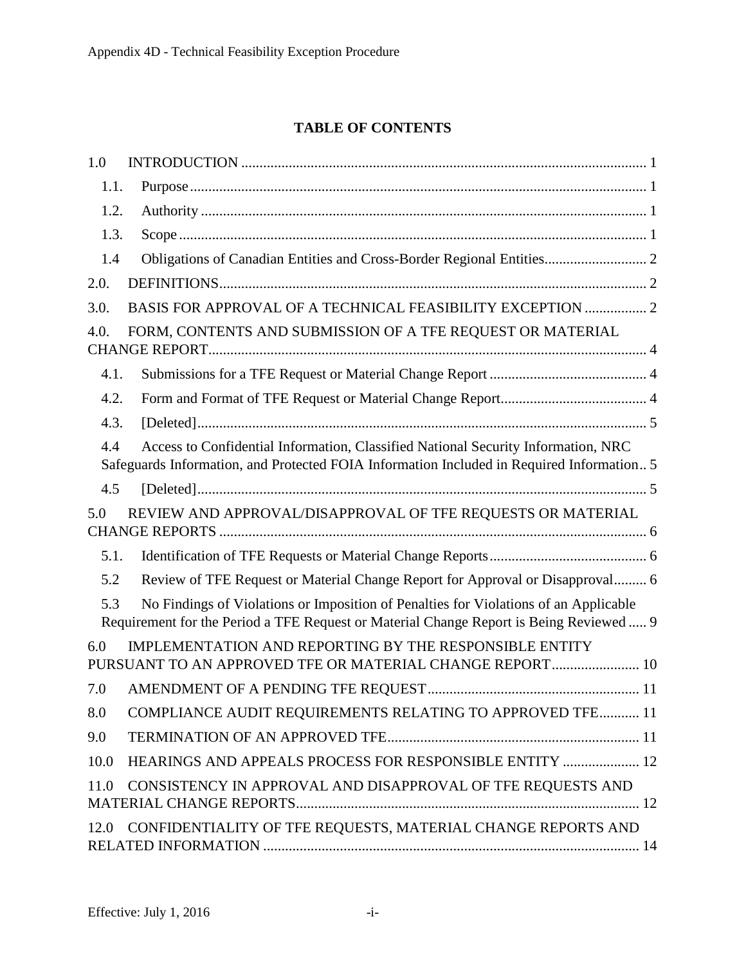## **TABLE OF CONTENTS**

| 1.0                                                                                                                                                                                    |
|----------------------------------------------------------------------------------------------------------------------------------------------------------------------------------------|
| 1.1.                                                                                                                                                                                   |
| 1.2.                                                                                                                                                                                   |
| 1.3.                                                                                                                                                                                   |
| 1.4                                                                                                                                                                                    |
| 2.0.                                                                                                                                                                                   |
| 3.0.                                                                                                                                                                                   |
| FORM, CONTENTS AND SUBMISSION OF A TFE REQUEST OR MATERIAL<br>4.0.                                                                                                                     |
| 4.1.                                                                                                                                                                                   |
| 4.2.                                                                                                                                                                                   |
| $[Deleted] \dots 5$<br>4.3.                                                                                                                                                            |
| Access to Confidential Information, Classified National Security Information, NRC<br>4.4<br>Safeguards Information, and Protected FOIA Information Included in Required Information 5  |
| 4.5                                                                                                                                                                                    |
| REVIEW AND APPROVAL/DISAPPROVAL OF TFE REQUESTS OR MATERIAL<br>5.0                                                                                                                     |
| 5.1.                                                                                                                                                                                   |
| Review of TFE Request or Material Change Report for Approval or Disapproval 6<br>5.2                                                                                                   |
| 5.3<br>No Findings of Violations or Imposition of Penalties for Violations of an Applicable<br>Requirement for the Period a TFE Request or Material Change Report is Being Reviewed  9 |
| IMPLEMENTATION AND REPORTING BY THE RESPONSIBLE ENTITY<br>6.0<br>PURSUANT TO AN APPROVED TFE OR MATERIAL CHANGE REPORT 10                                                              |
| 7.0                                                                                                                                                                                    |
| COMPLIANCE AUDIT REQUIREMENTS RELATING TO APPROVED TFE 11<br>8.0                                                                                                                       |
| 9.0                                                                                                                                                                                    |
| HEARINGS AND APPEALS PROCESS FOR RESPONSIBLE ENTITY  12<br>10.0                                                                                                                        |
| CONSISTENCY IN APPROVAL AND DISAPPROVAL OF TFE REQUESTS AND<br>11.0                                                                                                                    |
| CONFIDENTIALITY OF TFE REQUESTS, MATERIAL CHANGE REPORTS AND<br>12.0                                                                                                                   |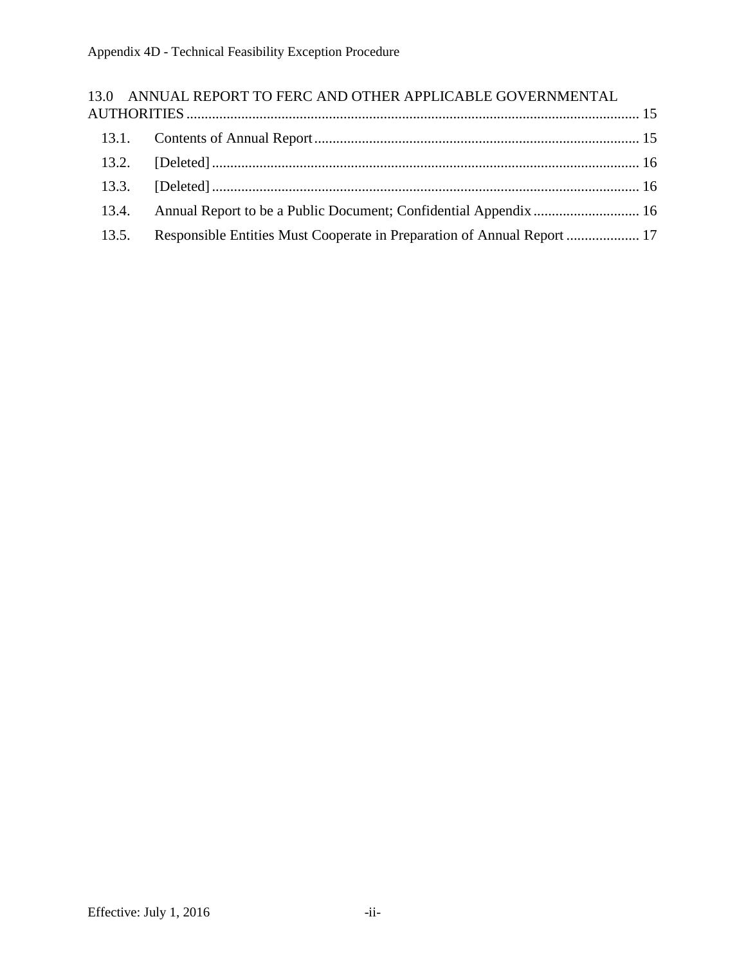|       | 13.0 ANNUAL REPORT TO FERC AND OTHER APPLICABLE GOVERNMENTAL            |  |
|-------|-------------------------------------------------------------------------|--|
|       |                                                                         |  |
|       |                                                                         |  |
|       |                                                                         |  |
|       |                                                                         |  |
| 13.4. |                                                                         |  |
| 13.5. | Responsible Entities Must Cooperate in Preparation of Annual Report  17 |  |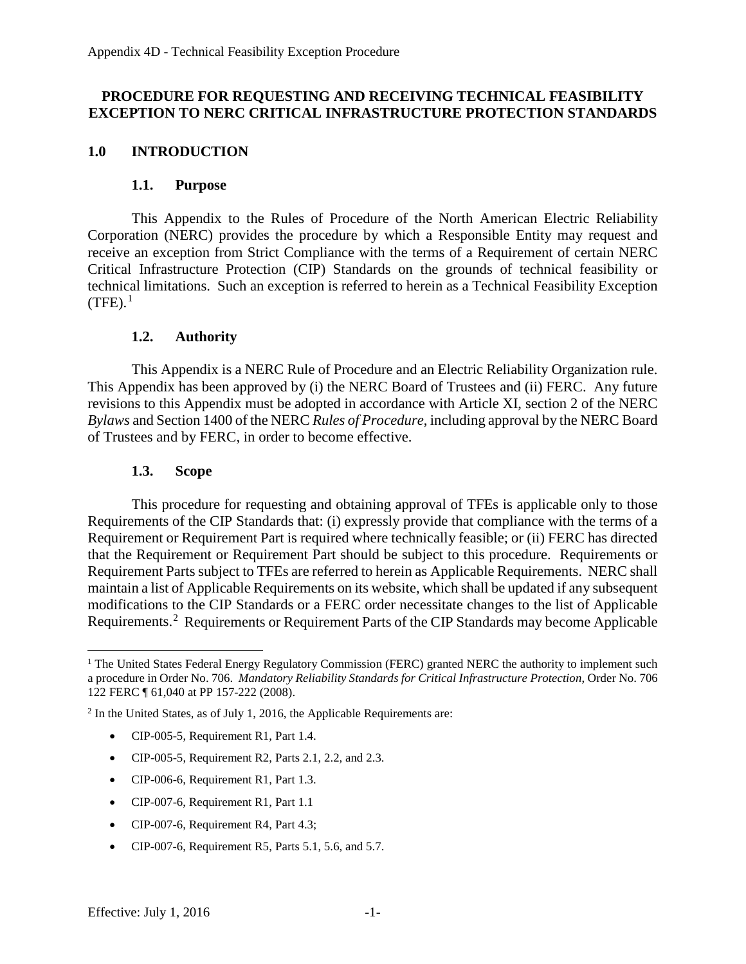#### **PROCEDURE FOR REQUESTING AND RECEIVING TECHNICAL FEASIBILITY EXCEPTION TO NERC CRITICAL INFRASTRUCTURE PROTECTION STANDARDS**

#### <span id="page-3-1"></span><span id="page-3-0"></span>**1.0 INTRODUCTION**

#### **1.1. Purpose**

This Appendix to the Rules of Procedure of the North American Electric Reliability Corporation (NERC) provides the procedure by which a Responsible Entity may request and receive an exception from Strict Compliance with the terms of a Requirement of certain NERC Critical Infrastructure Protection (CIP) Standards on the grounds of technical feasibility or technical limitations. Such an exception is referred to herein as a Technical Feasibility Exception  $(TFE).$ <sup>[1](#page-3-4)</sup>

#### **1.2. Authority**

<span id="page-3-2"></span>This Appendix is a NERC Rule of Procedure and an Electric Reliability Organization rule. This Appendix has been approved by (i) the NERC Board of Trustees and (ii) FERC. Any future revisions to this Appendix must be adopted in accordance with Article XI, section 2 of the NERC *Bylaws* and Section 1400 of the NERC *Rules of Procedure*, including approval by the NERC Board of Trustees and by FERC, in order to become effective.

#### **1.3. Scope**

<span id="page-3-3"></span>This procedure for requesting and obtaining approval of TFEs is applicable only to those Requirements of the CIP Standards that: (i) expressly provide that compliance with the terms of a Requirement or Requirement Part is required where technically feasible; or (ii) FERC has directed that the Requirement or Requirement Part should be subject to this procedure. Requirements or Requirement Parts subject to TFEs are referred to herein as Applicable Requirements. NERC shall maintain a list of Applicable Requirements on its website, which shall be updated if any subsequent modifications to the CIP Standards or a FERC order necessitate changes to the list of Applicable Requirements.<sup>[2](#page-3-5)</sup> Requirements or Requirement Parts of the CIP Standards may become Applicable

<span id="page-3-5"></span><sup>2</sup> In the United States, as of July 1, 2016, the Applicable Requirements are:

- CIP-005-5, Requirement R1, Part 1.4.
- CIP-005-5, Requirement R2, Parts 2.1, 2.2, and 2.3.
- CIP-006-6, Requirement R1, Part 1.3.
- CIP-007-6, Requirement R1, Part 1.1
- CIP-007-6, Requirement R4, Part 4.3;
- CIP-007-6, Requirement R5, Parts 5.1, 5.6, and 5.7.

<span id="page-3-4"></span><sup>&</sup>lt;sup>1</sup> The United States Federal Energy Regulatory Commission (FERC) granted NERC the authority to implement such a procedure in Order No. 706. *Mandatory Reliability Standards for Critical Infrastructure Protection*, Order No. 706 122 FERC ¶ 61,040 at PP 157-222 (2008).  $\overline{a}$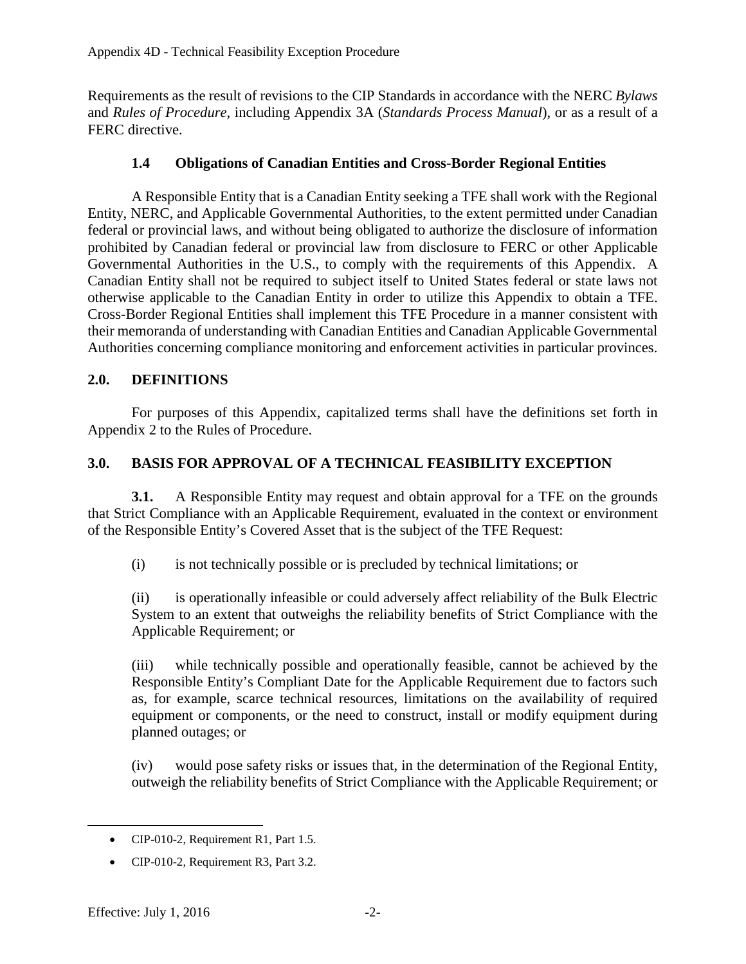Requirements as the result of revisions to the CIP Standards in accordance with the NERC *Bylaws* and *Rules of Procedure*, including Appendix 3A (*Standards Process Manual*), or as a result of a FERC directive.

### **1.4 Obligations of Canadian Entities and Cross-Border Regional Entities**

<span id="page-4-0"></span>A Responsible Entity that is a Canadian Entity seeking a TFE shall work with the Regional Entity, NERC, and Applicable Governmental Authorities, to the extent permitted under Canadian federal or provincial laws, and without being obligated to authorize the disclosure of information prohibited by Canadian federal or provincial law from disclosure to FERC or other Applicable Governmental Authorities in the U.S., to comply with the requirements of this Appendix. A Canadian Entity shall not be required to subject itself to United States federal or state laws not otherwise applicable to the Canadian Entity in order to utilize this Appendix to obtain a TFE. Cross-Border Regional Entities shall implement this TFE Procedure in a manner consistent with their memoranda of understanding with Canadian Entities and Canadian Applicable Governmental Authorities concerning compliance monitoring and enforcement activities in particular provinces.

#### <span id="page-4-1"></span>**2.0. DEFINITIONS**

For purposes of this Appendix, capitalized terms shall have the definitions set forth in Appendix 2 to the Rules of Procedure.

## <span id="page-4-2"></span>**3.0. BASIS FOR APPROVAL OF A TECHNICAL FEASIBILITY EXCEPTION**

**3.1.** A Responsible Entity may request and obtain approval for a TFE on the grounds that Strict Compliance with an Applicable Requirement, evaluated in the context or environment of the Responsible Entity's Covered Asset that is the subject of the TFE Request:

(i) is not technically possible or is precluded by technical limitations; or

(ii) is operationally infeasible or could adversely affect reliability of the Bulk Electric System to an extent that outweighs the reliability benefits of Strict Compliance with the Applicable Requirement; or

(iii) while technically possible and operationally feasible, cannot be achieved by the Responsible Entity's Compliant Date for the Applicable Requirement due to factors such as, for example, scarce technical resources, limitations on the availability of required equipment or components, or the need to construct, install or modify equipment during planned outages; or

(iv) would pose safety risks or issues that, in the determination of the Regional Entity, outweigh the reliability benefits of Strict Compliance with the Applicable Requirement; or

 $\overline{a}$ 

<sup>•</sup> CIP-010-2, Requirement R1, Part 1.5.

<sup>•</sup> CIP-010-2, Requirement R3, Part 3.2.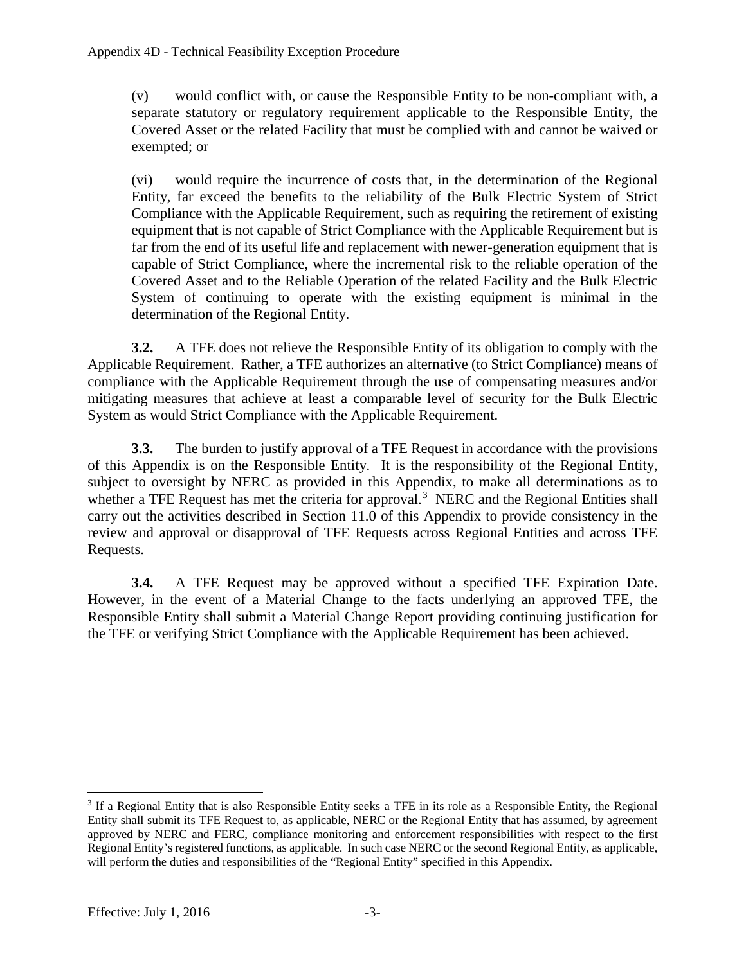(v) would conflict with, or cause the Responsible Entity to be non-compliant with, a separate statutory or regulatory requirement applicable to the Responsible Entity, the Covered Asset or the related Facility that must be complied with and cannot be waived or exempted; or

(vi) would require the incurrence of costs that, in the determination of the Regional Entity, far exceed the benefits to the reliability of the Bulk Electric System of Strict Compliance with the Applicable Requirement, such as requiring the retirement of existing equipment that is not capable of Strict Compliance with the Applicable Requirement but is far from the end of its useful life and replacement with newer-generation equipment that is capable of Strict Compliance, where the incremental risk to the reliable operation of the Covered Asset and to the Reliable Operation of the related Facility and the Bulk Electric System of continuing to operate with the existing equipment is minimal in the determination of the Regional Entity.

**3.2.** A TFE does not relieve the Responsible Entity of its obligation to comply with the Applicable Requirement. Rather, a TFE authorizes an alternative (to Strict Compliance) means of compliance with the Applicable Requirement through the use of compensating measures and/or mitigating measures that achieve at least a comparable level of security for the Bulk Electric System as would Strict Compliance with the Applicable Requirement.

**3.3.** The burden to justify approval of a TFE Request in accordance with the provisions of this Appendix is on the Responsible Entity. It is the responsibility of the Regional Entity, subject to oversight by NERC as provided in this Appendix, to make all determinations as to whether a TFE Request has met the criteria for approval.<sup>[3](#page-5-0)</sup> NERC and the Regional Entities shall carry out the activities described in Section 11.0 of this Appendix to provide consistency in the review and approval or disapproval of TFE Requests across Regional Entities and across TFE Requests.

**3.4.** A TFE Request may be approved without a specified TFE Expiration Date. However, in the event of a Material Change to the facts underlying an approved TFE, the Responsible Entity shall submit a Material Change Report providing continuing justification for the TFE or verifying Strict Compliance with the Applicable Requirement has been achieved.

<span id="page-5-0"></span><sup>&</sup>lt;sup>3</sup> If a Regional Entity that is also Responsible Entity seeks a TFE in its role as a Responsible Entity, the Regional Entity shall submit its TFE Request to, as applicable, NERC or the Regional Entity that has assumed, by agreement approved by NERC and FERC, compliance monitoring and enforcement responsibilities with respect to the first Regional Entity's registered functions, as applicable. In such case NERC or the second Regional Entity, as applicable, will perform the duties and responsibilities of the "Regional Entity" specified in this Appendix.  $\overline{a}$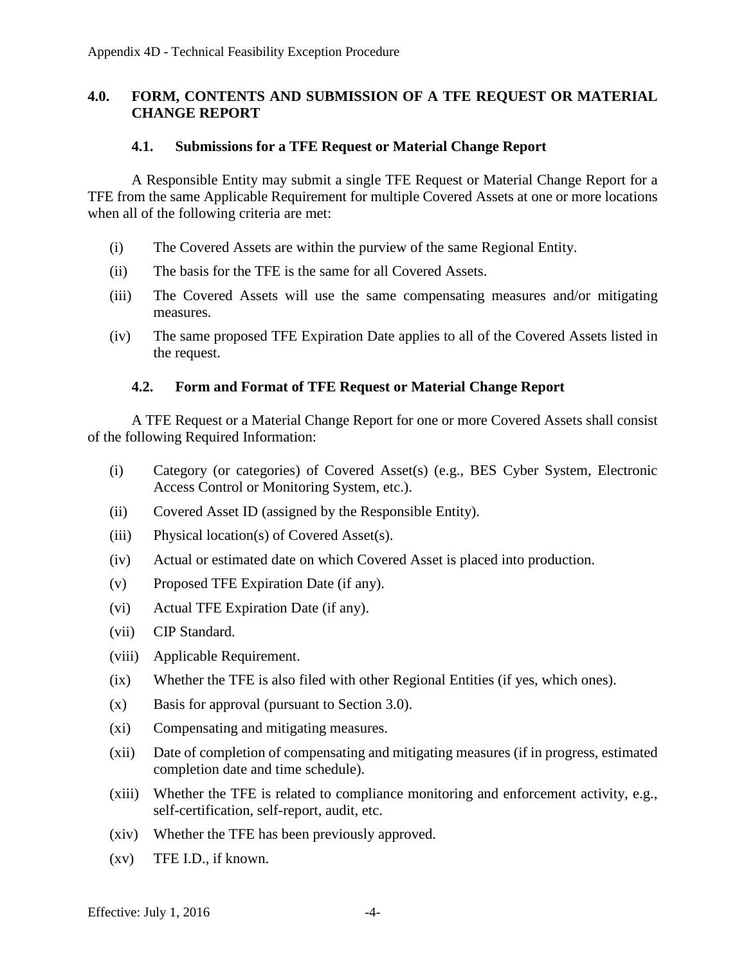#### <span id="page-6-0"></span>**4.0. FORM, CONTENTS AND SUBMISSION OF A TFE REQUEST OR MATERIAL CHANGE REPORT**

#### **4.1. Submissions for a TFE Request or Material Change Report**

<span id="page-6-1"></span>A Responsible Entity may submit a single TFE Request or Material Change Report for a TFE from the same Applicable Requirement for multiple Covered Assets at one or more locations when all of the following criteria are met:

- (i) The Covered Assets are within the purview of the same Regional Entity.
- (ii) The basis for the TFE is the same for all Covered Assets.
- (iii) The Covered Assets will use the same compensating measures and/or mitigating measures.
- (iv) The same proposed TFE Expiration Date applies to all of the Covered Assets listed in the request.

#### **4.2. Form and Format of TFE Request or Material Change Report**

<span id="page-6-2"></span>A TFE Request or a Material Change Report for one or more Covered Assets shall consist of the following Required Information:

- (i) Category (or categories) of Covered Asset(s) (e.g., BES Cyber System, Electronic Access Control or Monitoring System, etc.).
- (ii) Covered Asset ID (assigned by the Responsible Entity).
- (iii) Physical location(s) of Covered Asset(s).
- (iv) Actual or estimated date on which Covered Asset is placed into production.
- (v) Proposed TFE Expiration Date (if any).
- (vi) Actual TFE Expiration Date (if any).
- (vii) CIP Standard.
- (viii) Applicable Requirement.
- (ix) Whether the TFE is also filed with other Regional Entities (if yes, which ones).
- (x) Basis for approval (pursuant to Section 3.0).
- (xi) Compensating and mitigating measures.
- (xii) Date of completion of compensating and mitigating measures (if in progress, estimated completion date and time schedule).
- (xiii) Whether the TFE is related to compliance monitoring and enforcement activity, e.g., self-certification, self-report, audit, etc.
- (xiv) Whether the TFE has been previously approved.
- (xv) TFE I.D., if known.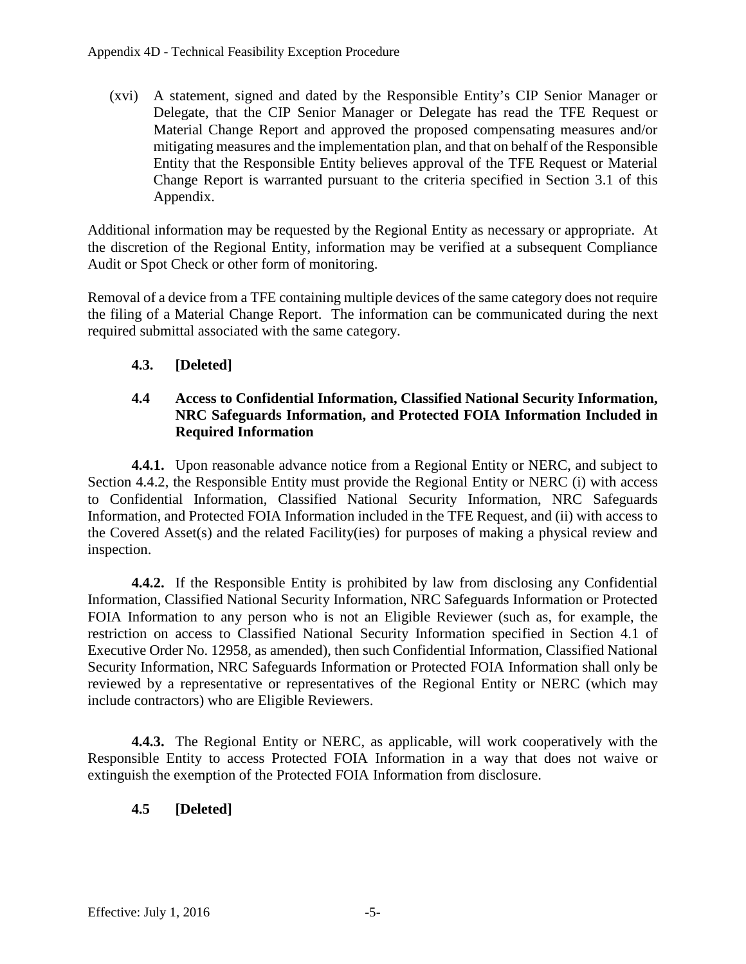(xvi) A statement, signed and dated by the Responsible Entity's CIP Senior Manager or Delegate, that the CIP Senior Manager or Delegate has read the TFE Request or Material Change Report and approved the proposed compensating measures and/or mitigating measures and the implementation plan, and that on behalf of the Responsible Entity that the Responsible Entity believes approval of the TFE Request or Material Change Report is warranted pursuant to the criteria specified in Section 3.1 of this Appendix.

Additional information may be requested by the Regional Entity as necessary or appropriate. At the discretion of the Regional Entity, information may be verified at a subsequent Compliance Audit or Spot Check or other form of monitoring.

Removal of a device from a TFE containing multiple devices of the same category does not require the filing of a Material Change Report. The information can be communicated during the next required submittal associated with the same category.

## <span id="page-7-0"></span>**4.3. [Deleted]**

### <span id="page-7-1"></span>**4.4 Access to Confidential Information, Classified National Security Information, NRC Safeguards Information, and Protected FOIA Information Included in Required Information**

**4.4.1.** Upon reasonable advance notice from a Regional Entity or NERC, and subject to Section 4.4.2, the Responsible Entity must provide the Regional Entity or NERC (i) with access to Confidential Information, Classified National Security Information, NRC Safeguards Information, and Protected FOIA Information included in the TFE Request, and (ii) with access to the Covered Asset(s) and the related Facility(ies) for purposes of making a physical review and inspection.

**4.4.2.** If the Responsible Entity is prohibited by law from disclosing any Confidential Information, Classified National Security Information, NRC Safeguards Information or Protected FOIA Information to any person who is not an Eligible Reviewer (such as, for example, the restriction on access to Classified National Security Information specified in Section 4.1 of Executive Order No. 12958, as amended), then such Confidential Information, Classified National Security Information, NRC Safeguards Information or Protected FOIA Information shall only be reviewed by a representative or representatives of the Regional Entity or NERC (which may include contractors) who are Eligible Reviewers.

**4.4.3.** The Regional Entity or NERC, as applicable, will work cooperatively with the Responsible Entity to access Protected FOIA Information in a way that does not waive or extinguish the exemption of the Protected FOIA Information from disclosure.

## <span id="page-7-2"></span>**4.5 [Deleted]**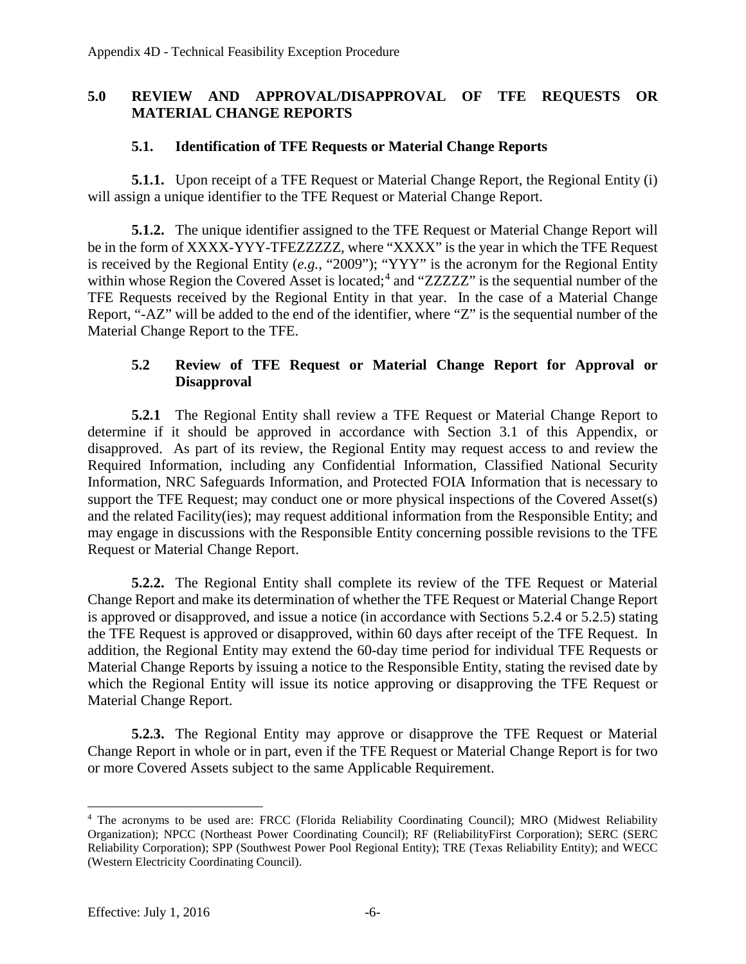#### <span id="page-8-0"></span>**5.0 REVIEW AND APPROVAL/DISAPPROVAL OF TFE REQUESTS OR MATERIAL CHANGE REPORTS**

#### **5.1. Identification of TFE Requests or Material Change Reports**

<span id="page-8-1"></span>**5.1.1.** Upon receipt of a TFE Request or Material Change Report, the Regional Entity (i) will assign a unique identifier to the TFE Request or Material Change Report.

**5.1.2.** The unique identifier assigned to the TFE Request or Material Change Report will be in the form of XXXX-YYY-TFEZZZZZ, where "XXXX" is the year in which the TFE Request is received by the Regional Entity (*e.g.*, "2009"); "YYY" is the acronym for the Regional Entity within whose Region the Covered Asset is located;<sup>[4](#page-8-3)</sup> and "ZZZZZ" is the sequential number of the TFE Requests received by the Regional Entity in that year. In the case of a Material Change Report, "-AZ" will be added to the end of the identifier, where "Z" is the sequential number of the Material Change Report to the TFE.

### <span id="page-8-2"></span>**5.2 Review of TFE Request or Material Change Report for Approval or Disapproval**

**5.2.1** The Regional Entity shall review a TFE Request or Material Change Report to determine if it should be approved in accordance with Section 3.1 of this Appendix, or disapproved. As part of its review, the Regional Entity may request access to and review the Required Information, including any Confidential Information, Classified National Security Information, NRC Safeguards Information, and Protected FOIA Information that is necessary to support the TFE Request; may conduct one or more physical inspections of the Covered Asset(s) and the related Facility(ies); may request additional information from the Responsible Entity; and may engage in discussions with the Responsible Entity concerning possible revisions to the TFE Request or Material Change Report.

**5.2.2.** The Regional Entity shall complete its review of the TFE Request or Material Change Report and make its determination of whether the TFE Request or Material Change Report is approved or disapproved, and issue a notice (in accordance with Sections 5.2.4 or 5.2.5) stating the TFE Request is approved or disapproved, within 60 days after receipt of the TFE Request. In addition, the Regional Entity may extend the 60-day time period for individual TFE Requests or Material Change Reports by issuing a notice to the Responsible Entity, stating the revised date by which the Regional Entity will issue its notice approving or disapproving the TFE Request or Material Change Report.

**5.2.3.** The Regional Entity may approve or disapprove the TFE Request or Material Change Report in whole or in part, even if the TFE Request or Material Change Report is for two or more Covered Assets subject to the same Applicable Requirement.

<span id="page-8-3"></span><sup>&</sup>lt;sup>4</sup> The acronyms to be used are: FRCC (Florida Reliability Coordinating Council); MRO (Midwest Reliability Organization); NPCC (Northeast Power Coordinating Council); RF (ReliabilityFirst Corporation); SERC (SERC Reliability Corporation); SPP (Southwest Power Pool Regional Entity); TRE (Texas Reliability Entity); and WECC (Western Electricity Coordinating Council).  $\overline{a}$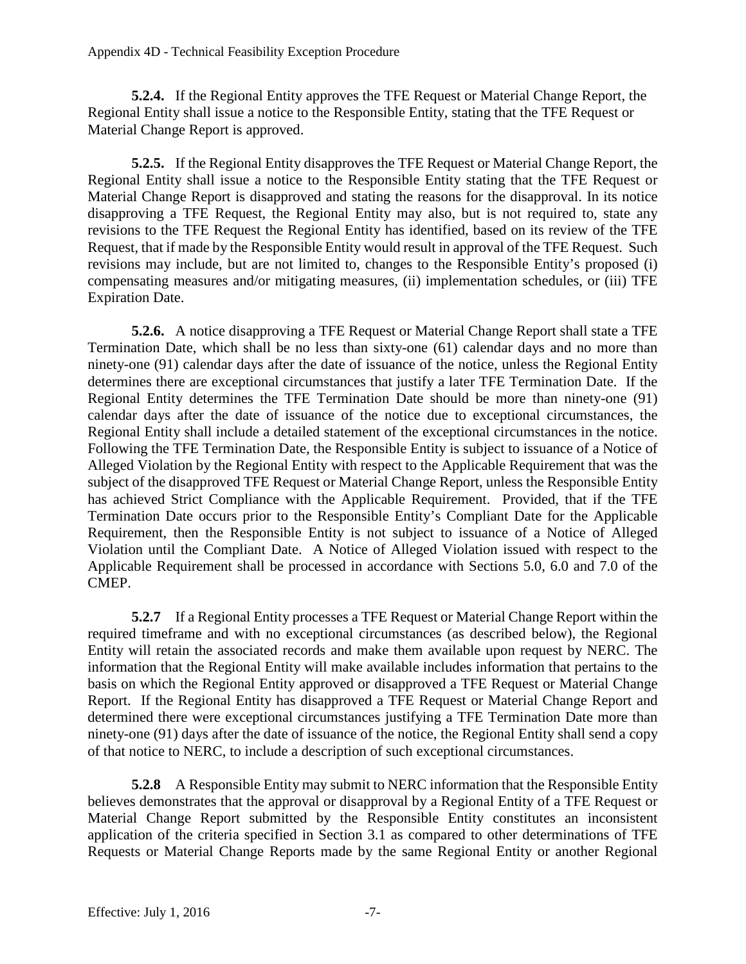**5.2.4.** If the Regional Entity approves the TFE Request or Material Change Report, the Regional Entity shall issue a notice to the Responsible Entity, stating that the TFE Request or Material Change Report is approved.

**5.2.5.** If the Regional Entity disapproves the TFE Request or Material Change Report, the Regional Entity shall issue a notice to the Responsible Entity stating that the TFE Request or Material Change Report is disapproved and stating the reasons for the disapproval. In its notice disapproving a TFE Request, the Regional Entity may also, but is not required to, state any revisions to the TFE Request the Regional Entity has identified, based on its review of the TFE Request, that if made by the Responsible Entity would result in approval of the TFE Request. Such revisions may include, but are not limited to, changes to the Responsible Entity's proposed (i) compensating measures and/or mitigating measures, (ii) implementation schedules, or (iii) TFE Expiration Date.

**5.2.6.** A notice disapproving a TFE Request or Material Change Report shall state a TFE Termination Date, which shall be no less than sixty-one (61) calendar days and no more than ninety-one (91) calendar days after the date of issuance of the notice, unless the Regional Entity determines there are exceptional circumstances that justify a later TFE Termination Date. If the Regional Entity determines the TFE Termination Date should be more than ninety-one (91) calendar days after the date of issuance of the notice due to exceptional circumstances, the Regional Entity shall include a detailed statement of the exceptional circumstances in the notice. Following the TFE Termination Date, the Responsible Entity is subject to issuance of a Notice of Alleged Violation by the Regional Entity with respect to the Applicable Requirement that was the subject of the disapproved TFE Request or Material Change Report, unless the Responsible Entity has achieved Strict Compliance with the Applicable Requirement. Provided, that if the TFE Termination Date occurs prior to the Responsible Entity's Compliant Date for the Applicable Requirement, then the Responsible Entity is not subject to issuance of a Notice of Alleged Violation until the Compliant Date. A Notice of Alleged Violation issued with respect to the Applicable Requirement shall be processed in accordance with Sections 5.0, 6.0 and 7.0 of the CMEP.

**5.2.7** If a Regional Entity processes a TFE Request or Material Change Report within the required timeframe and with no exceptional circumstances (as described below), the Regional Entity will retain the associated records and make them available upon request by NERC. The information that the Regional Entity will make available includes information that pertains to the basis on which the Regional Entity approved or disapproved a TFE Request or Material Change Report. If the Regional Entity has disapproved a TFE Request or Material Change Report and determined there were exceptional circumstances justifying a TFE Termination Date more than ninety-one (91) days after the date of issuance of the notice, the Regional Entity shall send a copy of that notice to NERC, to include a description of such exceptional circumstances.

**5.2.8** A Responsible Entity may submit to NERC information that the Responsible Entity believes demonstrates that the approval or disapproval by a Regional Entity of a TFE Request or Material Change Report submitted by the Responsible Entity constitutes an inconsistent application of the criteria specified in Section 3.1 as compared to other determinations of TFE Requests or Material Change Reports made by the same Regional Entity or another Regional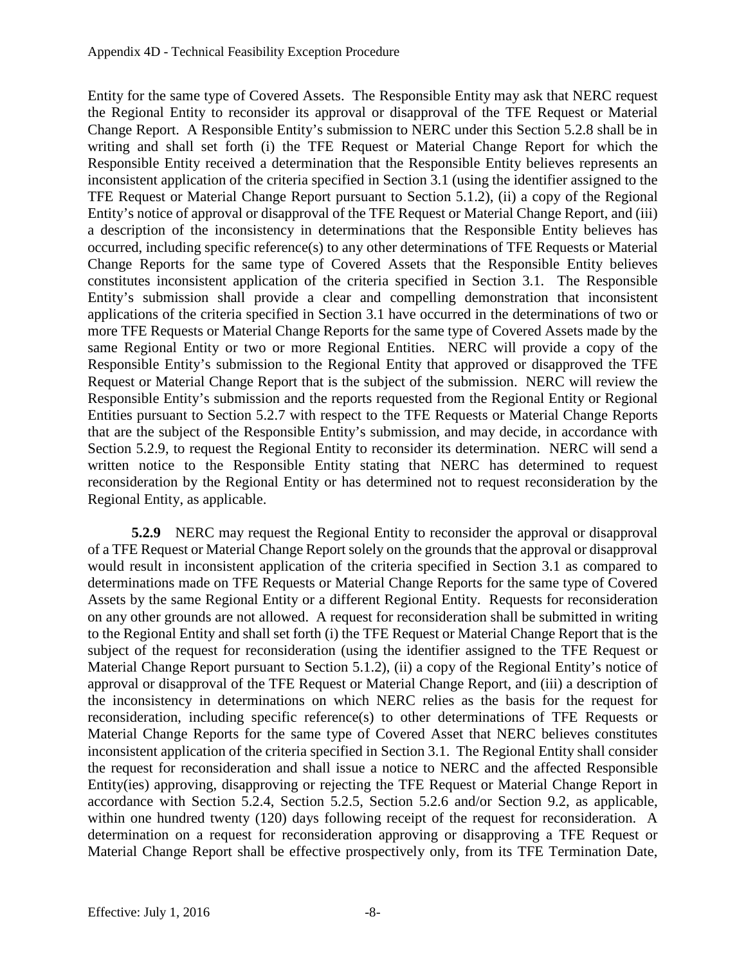Entity for the same type of Covered Assets. The Responsible Entity may ask that NERC request the Regional Entity to reconsider its approval or disapproval of the TFE Request or Material Change Report. A Responsible Entity's submission to NERC under this Section 5.2.8 shall be in writing and shall set forth (i) the TFE Request or Material Change Report for which the Responsible Entity received a determination that the Responsible Entity believes represents an inconsistent application of the criteria specified in Section 3.1 (using the identifier assigned to the TFE Request or Material Change Report pursuant to Section 5.1.2), (ii) a copy of the Regional Entity's notice of approval or disapproval of the TFE Request or Material Change Report, and (iii) a description of the inconsistency in determinations that the Responsible Entity believes has occurred, including specific reference(s) to any other determinations of TFE Requests or Material Change Reports for the same type of Covered Assets that the Responsible Entity believes constitutes inconsistent application of the criteria specified in Section 3.1. The Responsible Entity's submission shall provide a clear and compelling demonstration that inconsistent applications of the criteria specified in Section 3.1 have occurred in the determinations of two or more TFE Requests or Material Change Reports for the same type of Covered Assets made by the same Regional Entity or two or more Regional Entities. NERC will provide a copy of the Responsible Entity's submission to the Regional Entity that approved or disapproved the TFE Request or Material Change Report that is the subject of the submission. NERC will review the Responsible Entity's submission and the reports requested from the Regional Entity or Regional Entities pursuant to Section 5.2.7 with respect to the TFE Requests or Material Change Reports that are the subject of the Responsible Entity's submission, and may decide, in accordance with Section 5.2.9, to request the Regional Entity to reconsider its determination. NERC will send a written notice to the Responsible Entity stating that NERC has determined to request reconsideration by the Regional Entity or has determined not to request reconsideration by the Regional Entity, as applicable.

**5.2.9** NERC may request the Regional Entity to reconsider the approval or disapproval of a TFE Request or Material Change Report solely on the grounds that the approval or disapproval would result in inconsistent application of the criteria specified in Section 3.1 as compared to determinations made on TFE Requests or Material Change Reports for the same type of Covered Assets by the same Regional Entity or a different Regional Entity. Requests for reconsideration on any other grounds are not allowed. A request for reconsideration shall be submitted in writing to the Regional Entity and shall set forth (i) the TFE Request or Material Change Report that is the subject of the request for reconsideration (using the identifier assigned to the TFE Request or Material Change Report pursuant to Section 5.1.2), (ii) a copy of the Regional Entity's notice of approval or disapproval of the TFE Request or Material Change Report, and (iii) a description of the inconsistency in determinations on which NERC relies as the basis for the request for reconsideration, including specific reference(s) to other determinations of TFE Requests or Material Change Reports for the same type of Covered Asset that NERC believes constitutes inconsistent application of the criteria specified in Section 3.1. The Regional Entity shall consider the request for reconsideration and shall issue a notice to NERC and the affected Responsible Entity(ies) approving, disapproving or rejecting the TFE Request or Material Change Report in accordance with Section 5.2.4, Section 5.2.5, Section 5.2.6 and/or Section 9.2, as applicable, within one hundred twenty (120) days following receipt of the request for reconsideration. A determination on a request for reconsideration approving or disapproving a TFE Request or Material Change Report shall be effective prospectively only, from its TFE Termination Date,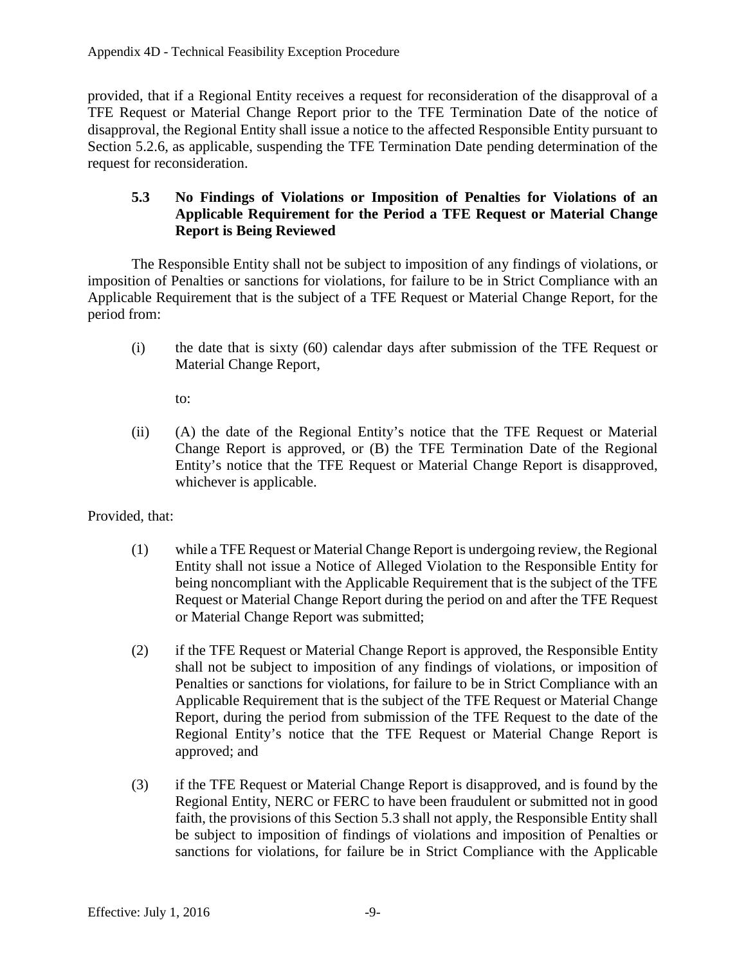provided, that if a Regional Entity receives a request for reconsideration of the disapproval of a TFE Request or Material Change Report prior to the TFE Termination Date of the notice of disapproval, the Regional Entity shall issue a notice to the affected Responsible Entity pursuant to Section 5.2.6, as applicable, suspending the TFE Termination Date pending determination of the request for reconsideration.

### <span id="page-11-0"></span>**5.3 No Findings of Violations or Imposition of Penalties for Violations of an Applicable Requirement for the Period a TFE Request or Material Change Report is Being Reviewed**

The Responsible Entity shall not be subject to imposition of any findings of violations, or imposition of Penalties or sanctions for violations, for failure to be in Strict Compliance with an Applicable Requirement that is the subject of a TFE Request or Material Change Report, for the period from:

(i) the date that is sixty (60) calendar days after submission of the TFE Request or Material Change Report,

to:

(ii) (A) the date of the Regional Entity's notice that the TFE Request or Material Change Report is approved, or (B) the TFE Termination Date of the Regional Entity's notice that the TFE Request or Material Change Report is disapproved, whichever is applicable.

Provided, that:

- (1) while a TFE Request or Material Change Report is undergoing review, the Regional Entity shall not issue a Notice of Alleged Violation to the Responsible Entity for being noncompliant with the Applicable Requirement that is the subject of the TFE Request or Material Change Report during the period on and after the TFE Request or Material Change Report was submitted;
- (2) if the TFE Request or Material Change Report is approved, the Responsible Entity shall not be subject to imposition of any findings of violations, or imposition of Penalties or sanctions for violations, for failure to be in Strict Compliance with an Applicable Requirement that is the subject of the TFE Request or Material Change Report, during the period from submission of the TFE Request to the date of the Regional Entity's notice that the TFE Request or Material Change Report is approved; and
- (3) if the TFE Request or Material Change Report is disapproved, and is found by the Regional Entity, NERC or FERC to have been fraudulent or submitted not in good faith, the provisions of this Section 5.3 shall not apply, the Responsible Entity shall be subject to imposition of findings of violations and imposition of Penalties or sanctions for violations, for failure be in Strict Compliance with the Applicable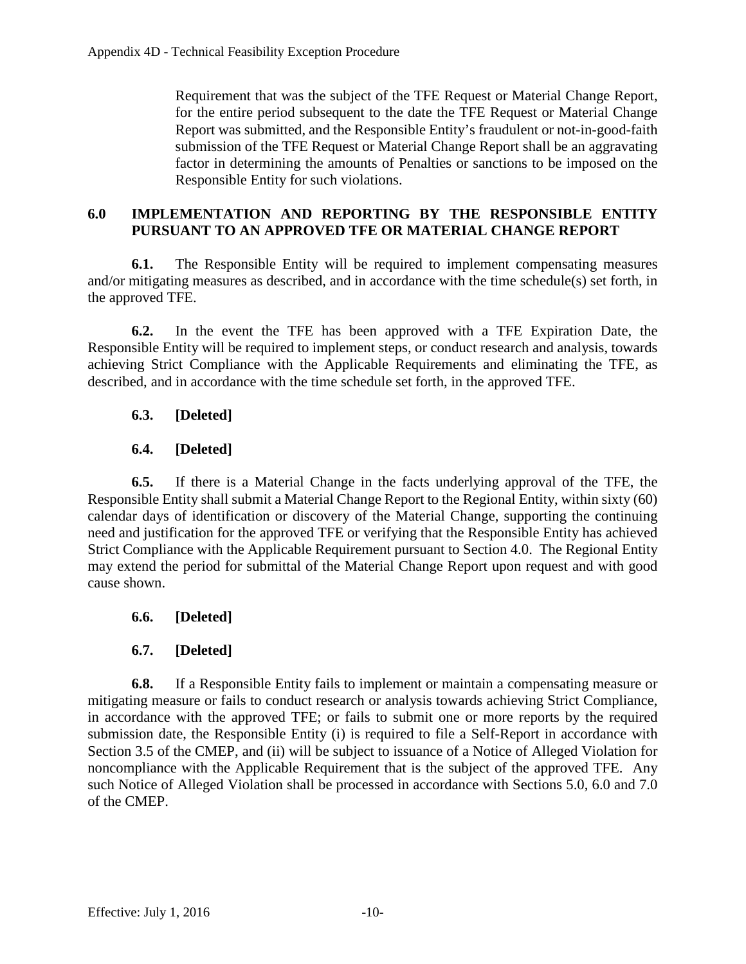Requirement that was the subject of the TFE Request or Material Change Report, for the entire period subsequent to the date the TFE Request or Material Change Report was submitted, and the Responsible Entity's fraudulent or not-in-good-faith submission of the TFE Request or Material Change Report shall be an aggravating factor in determining the amounts of Penalties or sanctions to be imposed on the Responsible Entity for such violations.

### <span id="page-12-0"></span>**6.0 IMPLEMENTATION AND REPORTING BY THE RESPONSIBLE ENTITY PURSUANT TO AN APPROVED TFE OR MATERIAL CHANGE REPORT**

**6.1.** The Responsible Entity will be required to implement compensating measures and/or mitigating measures as described, and in accordance with the time schedule(s) set forth, in the approved TFE.

**6.2.** In the event the TFE has been approved with a TFE Expiration Date, the Responsible Entity will be required to implement steps, or conduct research and analysis, towards achieving Strict Compliance with the Applicable Requirements and eliminating the TFE, as described, and in accordance with the time schedule set forth, in the approved TFE.

## **6.3. [Deleted]**

## **6.4. [Deleted]**

**6.5.** If there is a Material Change in the facts underlying approval of the TFE, the Responsible Entity shall submit a Material Change Report to the Regional Entity, within sixty (60) calendar days of identification or discovery of the Material Change, supporting the continuing need and justification for the approved TFE or verifying that the Responsible Entity has achieved Strict Compliance with the Applicable Requirement pursuant to Section 4.0. The Regional Entity may extend the period for submittal of the Material Change Report upon request and with good cause shown.

## **6.6. [Deleted]**

## **6.7. [Deleted]**

**6.8.** If a Responsible Entity fails to implement or maintain a compensating measure or mitigating measure or fails to conduct research or analysis towards achieving Strict Compliance, in accordance with the approved TFE; or fails to submit one or more reports by the required submission date, the Responsible Entity (i) is required to file a Self-Report in accordance with Section 3.5 of the CMEP, and (ii) will be subject to issuance of a Notice of Alleged Violation for noncompliance with the Applicable Requirement that is the subject of the approved TFE. Any such Notice of Alleged Violation shall be processed in accordance with Sections 5.0, 6.0 and 7.0 of the CMEP.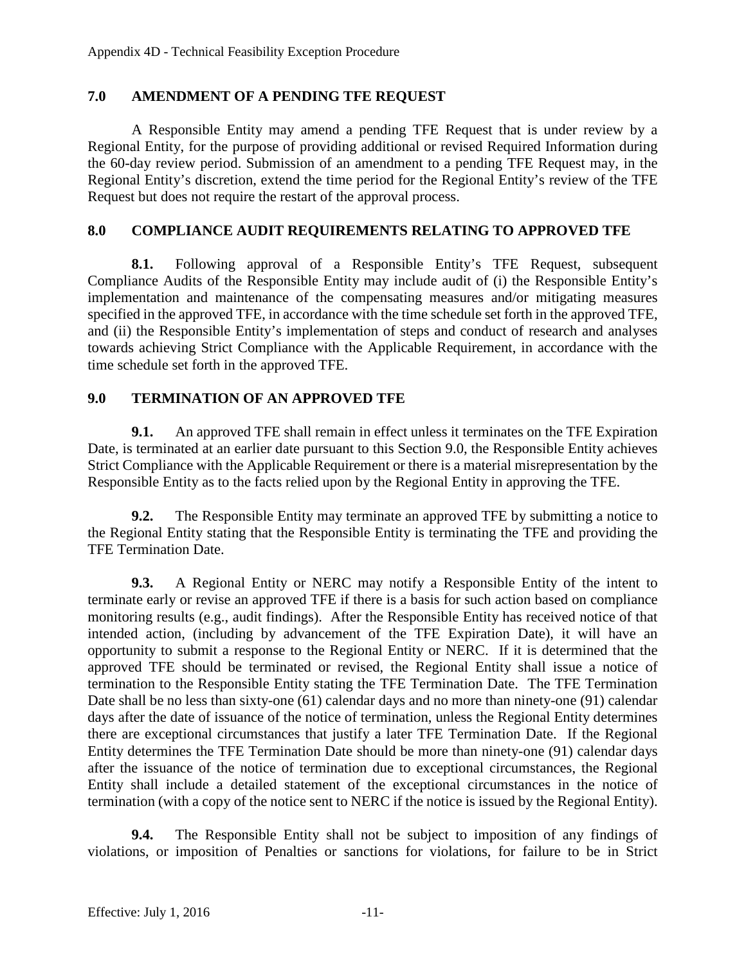### <span id="page-13-0"></span>**7.0 AMENDMENT OF A PENDING TFE REQUEST**

A Responsible Entity may amend a pending TFE Request that is under review by a Regional Entity, for the purpose of providing additional or revised Required Information during the 60-day review period. Submission of an amendment to a pending TFE Request may, in the Regional Entity's discretion, extend the time period for the Regional Entity's review of the TFE Request but does not require the restart of the approval process.

### <span id="page-13-1"></span>**8.0 COMPLIANCE AUDIT REQUIREMENTS RELATING TO APPROVED TFE**

**8.1.** Following approval of a Responsible Entity's TFE Request, subsequent Compliance Audits of the Responsible Entity may include audit of (i) the Responsible Entity's implementation and maintenance of the compensating measures and/or mitigating measures specified in the approved TFE, in accordance with the time schedule set forth in the approved TFE, and (ii) the Responsible Entity's implementation of steps and conduct of research and analyses towards achieving Strict Compliance with the Applicable Requirement, in accordance with the time schedule set forth in the approved TFE.

### <span id="page-13-2"></span>**9.0 TERMINATION OF AN APPROVED TFE**

**9.1.** An approved TFE shall remain in effect unless it terminates on the TFE Expiration Date, is terminated at an earlier date pursuant to this Section 9.0, the Responsible Entity achieves Strict Compliance with the Applicable Requirement or there is a material misrepresentation by the Responsible Entity as to the facts relied upon by the Regional Entity in approving the TFE.

**9.2.** The Responsible Entity may terminate an approved TFE by submitting a notice to the Regional Entity stating that the Responsible Entity is terminating the TFE and providing the TFE Termination Date.

**9.3.** A Regional Entity or NERC may notify a Responsible Entity of the intent to terminate early or revise an approved TFE if there is a basis for such action based on compliance monitoring results (e.g., audit findings). After the Responsible Entity has received notice of that intended action, (including by advancement of the TFE Expiration Date), it will have an opportunity to submit a response to the Regional Entity or NERC. If it is determined that the approved TFE should be terminated or revised, the Regional Entity shall issue a notice of termination to the Responsible Entity stating the TFE Termination Date. The TFE Termination Date shall be no less than sixty-one (61) calendar days and no more than ninety-one (91) calendar days after the date of issuance of the notice of termination, unless the Regional Entity determines there are exceptional circumstances that justify a later TFE Termination Date. If the Regional Entity determines the TFE Termination Date should be more than ninety-one (91) calendar days after the issuance of the notice of termination due to exceptional circumstances, the Regional Entity shall include a detailed statement of the exceptional circumstances in the notice of termination (with a copy of the notice sent to NERC if the notice is issued by the Regional Entity).

**9.4.** The Responsible Entity shall not be subject to imposition of any findings of violations, or imposition of Penalties or sanctions for violations, for failure to be in Strict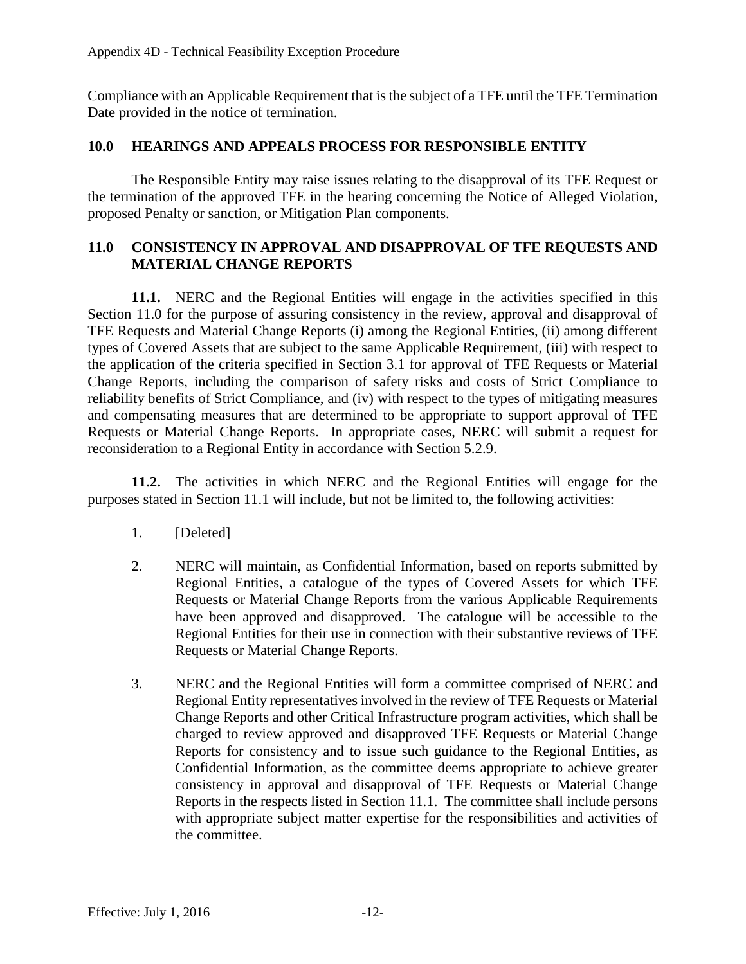Compliance with an Applicable Requirement that is the subject of a TFE until the TFE Termination Date provided in the notice of termination.

### <span id="page-14-0"></span>**10.0 HEARINGS AND APPEALS PROCESS FOR RESPONSIBLE ENTITY**

The Responsible Entity may raise issues relating to the disapproval of its TFE Request or the termination of the approved TFE in the hearing concerning the Notice of Alleged Violation, proposed Penalty or sanction, or Mitigation Plan components.

### <span id="page-14-1"></span>**11.0 CONSISTENCY IN APPROVAL AND DISAPPROVAL OF TFE REQUESTS AND MATERIAL CHANGE REPORTS**

**11.1.** NERC and the Regional Entities will engage in the activities specified in this Section 11.0 for the purpose of assuring consistency in the review, approval and disapproval of TFE Requests and Material Change Reports (i) among the Regional Entities, (ii) among different types of Covered Assets that are subject to the same Applicable Requirement, (iii) with respect to the application of the criteria specified in Section 3.1 for approval of TFE Requests or Material Change Reports, including the comparison of safety risks and costs of Strict Compliance to reliability benefits of Strict Compliance, and (iv) with respect to the types of mitigating measures and compensating measures that are determined to be appropriate to support approval of TFE Requests or Material Change Reports. In appropriate cases, NERC will submit a request for reconsideration to a Regional Entity in accordance with Section 5.2.9.

**11.2.** The activities in which NERC and the Regional Entities will engage for the purposes stated in Section 11.1 will include, but not be limited to, the following activities:

- 1. [Deleted]
- 2. NERC will maintain, as Confidential Information, based on reports submitted by Regional Entities, a catalogue of the types of Covered Assets for which TFE Requests or Material Change Reports from the various Applicable Requirements have been approved and disapproved. The catalogue will be accessible to the Regional Entities for their use in connection with their substantive reviews of TFE Requests or Material Change Reports.
- 3. NERC and the Regional Entities will form a committee comprised of NERC and Regional Entity representatives involved in the review of TFE Requests or Material Change Reports and other Critical Infrastructure program activities, which shall be charged to review approved and disapproved TFE Requests or Material Change Reports for consistency and to issue such guidance to the Regional Entities, as Confidential Information, as the committee deems appropriate to achieve greater consistency in approval and disapproval of TFE Requests or Material Change Reports in the respects listed in Section 11.1. The committee shall include persons with appropriate subject matter expertise for the responsibilities and activities of the committee.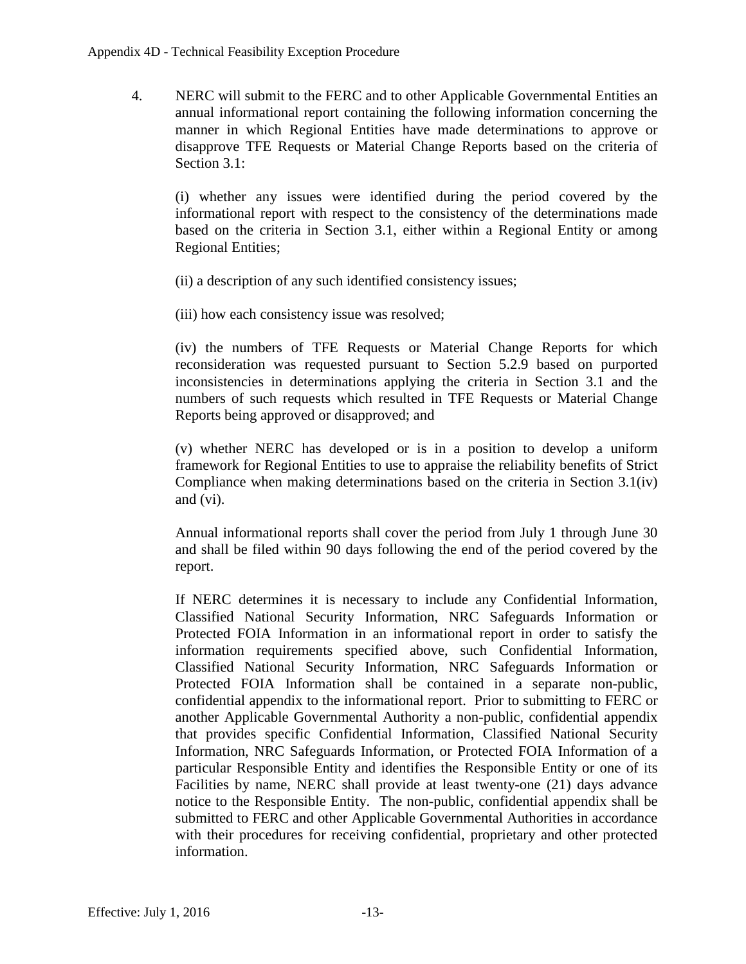4. NERC will submit to the FERC and to other Applicable Governmental Entities an annual informational report containing the following information concerning the manner in which Regional Entities have made determinations to approve or disapprove TFE Requests or Material Change Reports based on the criteria of Section 3.1:

(i) whether any issues were identified during the period covered by the informational report with respect to the consistency of the determinations made based on the criteria in Section 3.1, either within a Regional Entity or among Regional Entities;

(ii) a description of any such identified consistency issues;

(iii) how each consistency issue was resolved;

(iv) the numbers of TFE Requests or Material Change Reports for which reconsideration was requested pursuant to Section 5.2.9 based on purported inconsistencies in determinations applying the criteria in Section 3.1 and the numbers of such requests which resulted in TFE Requests or Material Change Reports being approved or disapproved; and

(v) whether NERC has developed or is in a position to develop a uniform framework for Regional Entities to use to appraise the reliability benefits of Strict Compliance when making determinations based on the criteria in Section 3.1(iv) and (vi).

Annual informational reports shall cover the period from July 1 through June 30 and shall be filed within 90 days following the end of the period covered by the report.

If NERC determines it is necessary to include any Confidential Information, Classified National Security Information, NRC Safeguards Information or Protected FOIA Information in an informational report in order to satisfy the information requirements specified above, such Confidential Information, Classified National Security Information, NRC Safeguards Information or Protected FOIA Information shall be contained in a separate non-public, confidential appendix to the informational report. Prior to submitting to FERC or another Applicable Governmental Authority a non-public, confidential appendix that provides specific Confidential Information, Classified National Security Information, NRC Safeguards Information, or Protected FOIA Information of a particular Responsible Entity and identifies the Responsible Entity or one of its Facilities by name, NERC shall provide at least twenty-one (21) days advance notice to the Responsible Entity. The non-public, confidential appendix shall be submitted to FERC and other Applicable Governmental Authorities in accordance with their procedures for receiving confidential, proprietary and other protected information.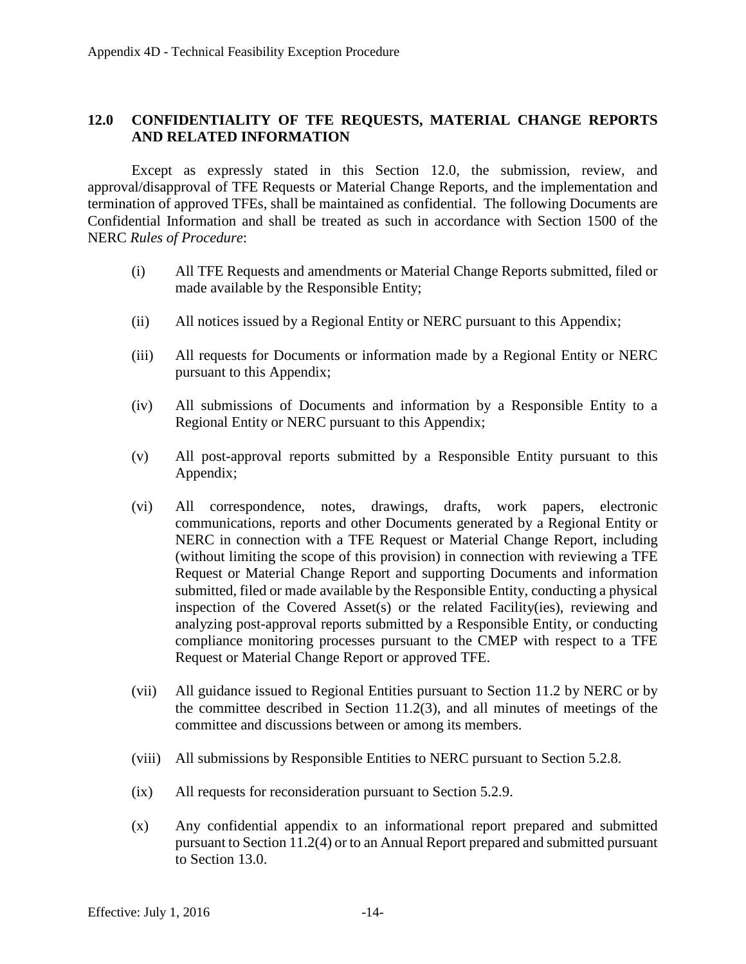### <span id="page-16-0"></span>**12.0 CONFIDENTIALITY OF TFE REQUESTS, MATERIAL CHANGE REPORTS AND RELATED INFORMATION**

Except as expressly stated in this Section 12.0, the submission, review, and approval/disapproval of TFE Requests or Material Change Reports, and the implementation and termination of approved TFEs, shall be maintained as confidential. The following Documents are Confidential Information and shall be treated as such in accordance with Section 1500 of the NERC *Rules of Procedure*:

- (i) All TFE Requests and amendments or Material Change Reports submitted, filed or made available by the Responsible Entity;
- (ii) All notices issued by a Regional Entity or NERC pursuant to this Appendix;
- (iii) All requests for Documents or information made by a Regional Entity or NERC pursuant to this Appendix;
- (iv) All submissions of Documents and information by a Responsible Entity to a Regional Entity or NERC pursuant to this Appendix;
- (v) All post-approval reports submitted by a Responsible Entity pursuant to this Appendix;
- (vi) All correspondence, notes, drawings, drafts, work papers, electronic communications, reports and other Documents generated by a Regional Entity or NERC in connection with a TFE Request or Material Change Report, including (without limiting the scope of this provision) in connection with reviewing a TFE Request or Material Change Report and supporting Documents and information submitted, filed or made available by the Responsible Entity, conducting a physical inspection of the Covered Asset(s) or the related Facility(ies), reviewing and analyzing post-approval reports submitted by a Responsible Entity, or conducting compliance monitoring processes pursuant to the CMEP with respect to a TFE Request or Material Change Report or approved TFE.
- (vii) All guidance issued to Regional Entities pursuant to Section 11.2 by NERC or by the committee described in Section  $11.2(3)$ , and all minutes of meetings of the committee and discussions between or among its members.
- (viii) All submissions by Responsible Entities to NERC pursuant to Section 5.2.8.
- (ix) All requests for reconsideration pursuant to Section 5.2.9.
- (x) Any confidential appendix to an informational report prepared and submitted pursuant to Section 11.2(4) or to an Annual Report prepared and submitted pursuant to Section 13.0.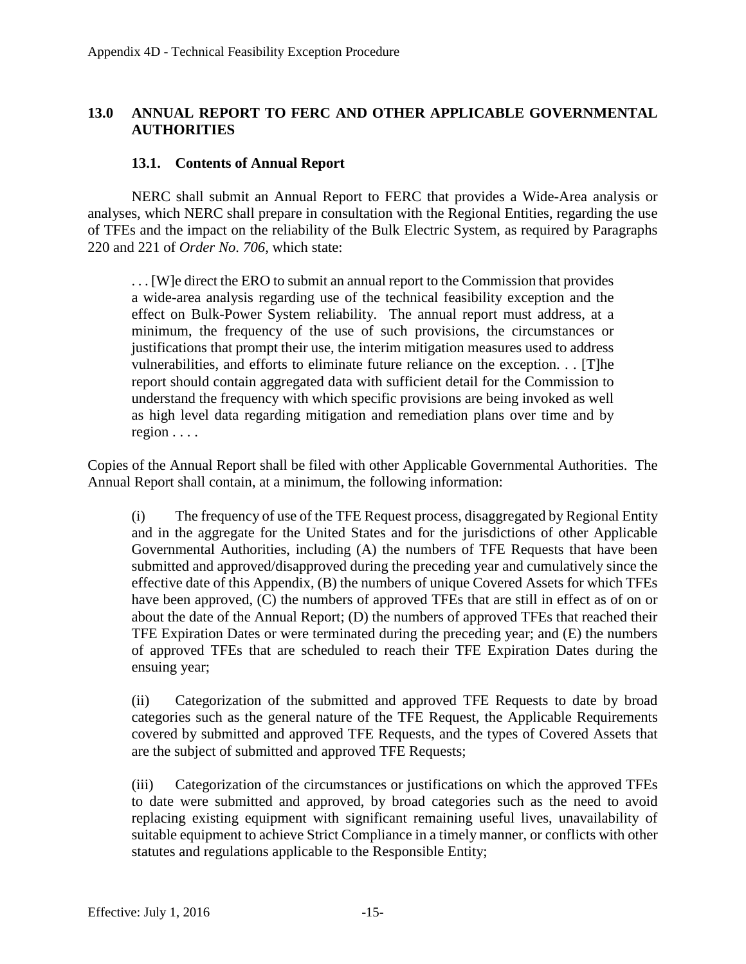### <span id="page-17-0"></span>**13.0 ANNUAL REPORT TO FERC AND OTHER APPLICABLE GOVERNMENTAL AUTHORITIES**

#### **13.1. Contents of Annual Report**

<span id="page-17-1"></span>NERC shall submit an Annual Report to FERC that provides a Wide-Area analysis or analyses, which NERC shall prepare in consultation with the Regional Entities, regarding the use of TFEs and the impact on the reliability of the Bulk Electric System, as required by Paragraphs 220 and 221 of *Order No. 706*, which state:

. . . [W]e direct the ERO to submit an annual report to the Commission that provides a wide-area analysis regarding use of the technical feasibility exception and the effect on Bulk-Power System reliability. The annual report must address, at a minimum, the frequency of the use of such provisions, the circumstances or justifications that prompt their use, the interim mitigation measures used to address vulnerabilities, and efforts to eliminate future reliance on the exception. . . [T]he report should contain aggregated data with sufficient detail for the Commission to understand the frequency with which specific provisions are being invoked as well as high level data regarding mitigation and remediation plans over time and by region . . . .

Copies of the Annual Report shall be filed with other Applicable Governmental Authorities. The Annual Report shall contain, at a minimum, the following information:

(i) The frequency of use of the TFE Request process, disaggregated by Regional Entity and in the aggregate for the United States and for the jurisdictions of other Applicable Governmental Authorities, including (A) the numbers of TFE Requests that have been submitted and approved/disapproved during the preceding year and cumulatively since the effective date of this Appendix, (B) the numbers of unique Covered Assets for which TFEs have been approved, (C) the numbers of approved TFEs that are still in effect as of on or about the date of the Annual Report; (D) the numbers of approved TFEs that reached their TFE Expiration Dates or were terminated during the preceding year; and (E) the numbers of approved TFEs that are scheduled to reach their TFE Expiration Dates during the ensuing year;

(ii) Categorization of the submitted and approved TFE Requests to date by broad categories such as the general nature of the TFE Request, the Applicable Requirements covered by submitted and approved TFE Requests, and the types of Covered Assets that are the subject of submitted and approved TFE Requests;

(iii) Categorization of the circumstances or justifications on which the approved TFEs to date were submitted and approved, by broad categories such as the need to avoid replacing existing equipment with significant remaining useful lives, unavailability of suitable equipment to achieve Strict Compliance in a timely manner, or conflicts with other statutes and regulations applicable to the Responsible Entity;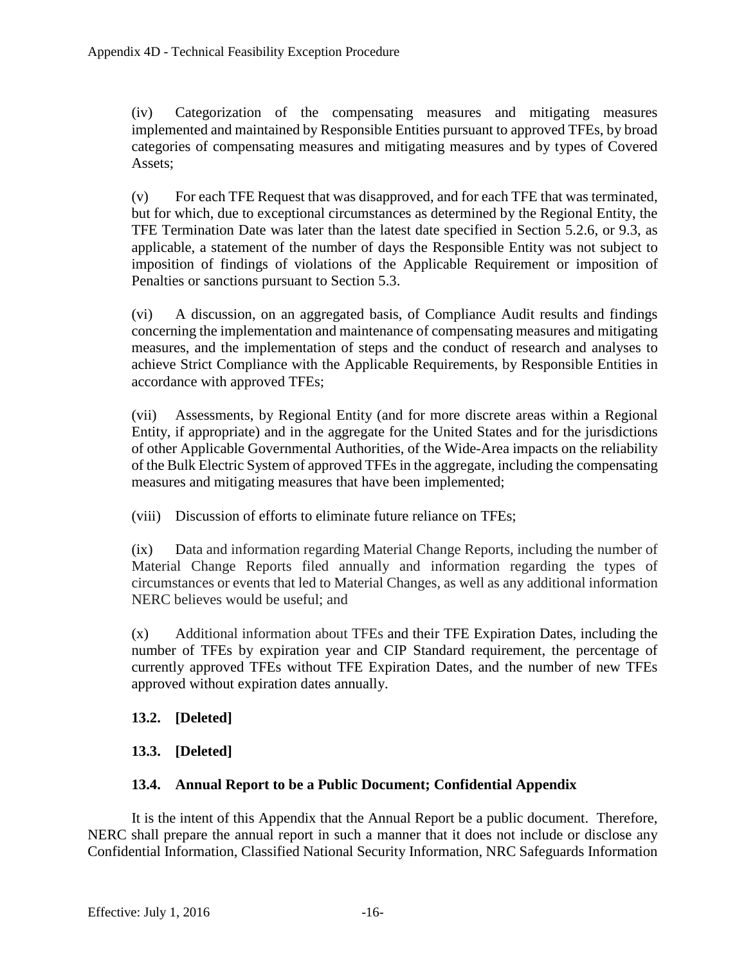(iv) Categorization of the compensating measures and mitigating measures implemented and maintained by Responsible Entities pursuant to approved TFEs, by broad categories of compensating measures and mitigating measures and by types of Covered Assets;

(v) For each TFE Request that was disapproved, and for each TFE that was terminated, but for which, due to exceptional circumstances as determined by the Regional Entity, the TFE Termination Date was later than the latest date specified in Section 5.2.6, or 9.3, as applicable, a statement of the number of days the Responsible Entity was not subject to imposition of findings of violations of the Applicable Requirement or imposition of Penalties or sanctions pursuant to Section 5.3.

(vi) A discussion, on an aggregated basis, of Compliance Audit results and findings concerning the implementation and maintenance of compensating measures and mitigating measures, and the implementation of steps and the conduct of research and analyses to achieve Strict Compliance with the Applicable Requirements, by Responsible Entities in accordance with approved TFEs;

(vii) Assessments, by Regional Entity (and for more discrete areas within a Regional Entity, if appropriate) and in the aggregate for the United States and for the jurisdictions of other Applicable Governmental Authorities, of the Wide-Area impacts on the reliability of the Bulk Electric System of approved TFEs in the aggregate, including the compensating measures and mitigating measures that have been implemented;

(viii) Discussion of efforts to eliminate future reliance on TFEs;

(ix) Data and information regarding Material Change Reports, including the number of Material Change Reports filed annually and information regarding the types of circumstances or events that led to Material Changes, as well as any additional information NERC believes would be useful; and

(x) Additional information about TFEs and their TFE Expiration Dates, including the number of TFEs by expiration year and CIP Standard requirement, the percentage of currently approved TFEs without TFE Expiration Dates, and the number of new TFEs approved without expiration dates annually.

#### <span id="page-18-0"></span>**13.2. [Deleted]**

## <span id="page-18-1"></span>**13.3. [Deleted]**

#### **13.4. Annual Report to be a Public Document; Confidential Appendix**

<span id="page-18-2"></span>It is the intent of this Appendix that the Annual Report be a public document. Therefore, NERC shall prepare the annual report in such a manner that it does not include or disclose any Confidential Information, Classified National Security Information, NRC Safeguards Information